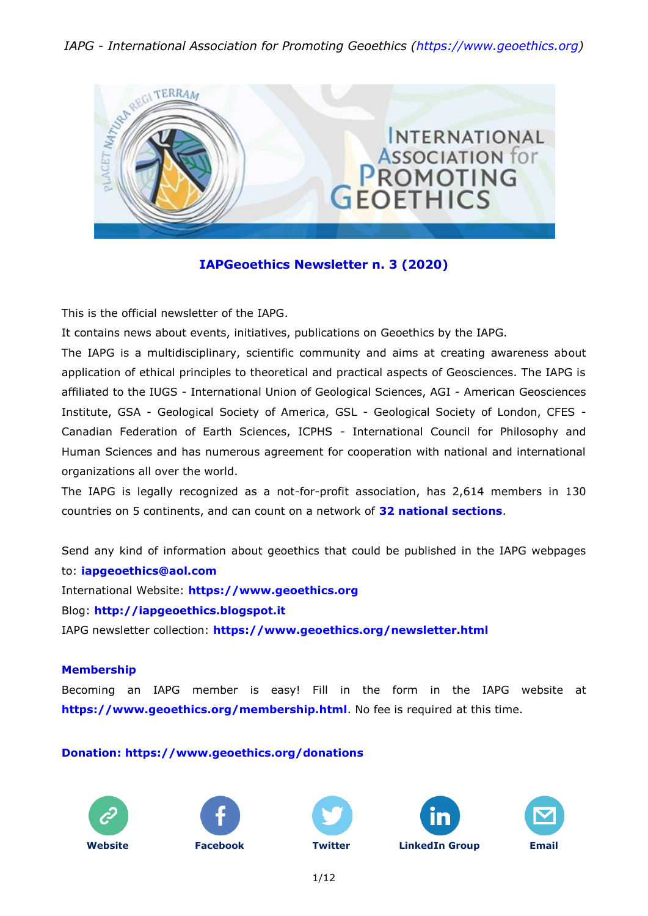# *IAPG - International Association for Promoting Geoethics (https://www.geoethics.org)*



# **IAPGeoethics Newsletter n. 3 (2020)**

This is the official newsletter of the IAPG.

It contains news about events, initiatives, publications on Geoethics by the IAPG.

The IAPG is a multidisciplinary, scientific community and aims at creating awareness about application of ethical principles to theoretical and practical aspects of Geosciences. The IAPG is affiliated to the IUGS - International Union of Geological Sciences, AGI - American Geosciences Institute, GSA - Geological Society of America, GSL - Geological Society of London, CFES - Canadian Federation of Earth Sciences, ICPHS - International Council for Philosophy and Human Sciences and has numerous agreement for cooperation with national and international organizations all over the world.

The IAPG is legally recognized as a not-for-profit association, has 2,614 members in 130 countries on 5 continents, and can count on a network of **32 national [sections](http://www.geoethics.org/sections.html)**.

Send any kind of information about geoethics that could be published in the IAPG webpages to: **[iapgeoethics@aol.com](mailto:iapgeoethics@aol.com?subject=IAPG%20newsletter)** International Website: **[https://www.geoethics.org](https://www.geoethics.org/)** Blog: **[http://iapgeoethics.blogspot.it](http://iapgeoethics.blogspot.it/)**

IAPG newsletter collection: **<https://www.geoethics.org/newsletter.html>**

## **Membership**

Becoming an IAPG member is easy! Fill in the form in the IAPG website at **<https://www.geoethics.org/membership.html>**. No fee is required at this time.

## **Donation: <https://www.geoethics.org/donations>**











1/12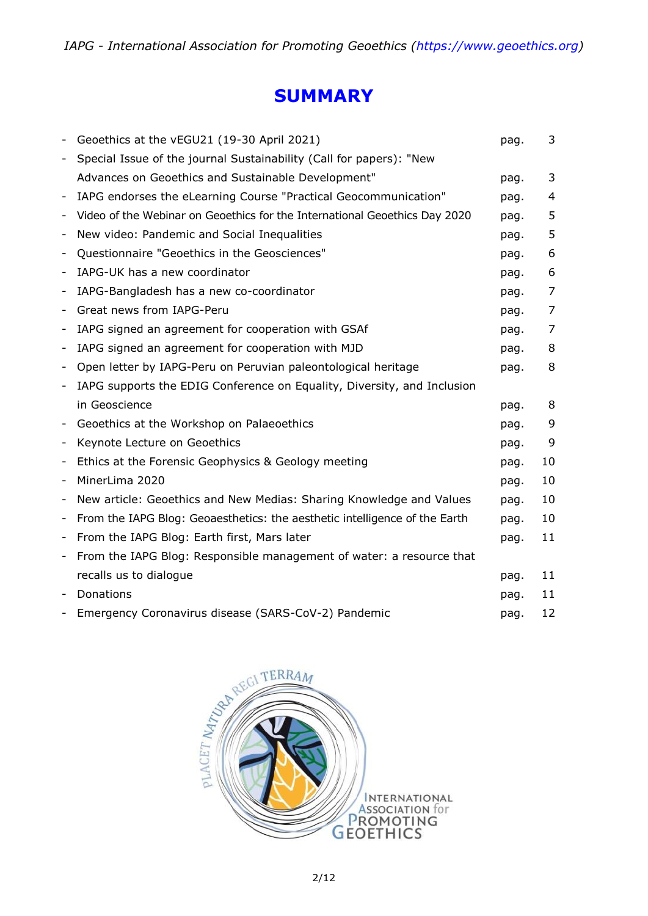# **SUMMARY**

|                              | Geoethics at the vEGU21 (19-30 April 2021)                                 | pag. | 3              |
|------------------------------|----------------------------------------------------------------------------|------|----------------|
| $\qquad \qquad \blacksquare$ | Special Issue of the journal Sustainability (Call for papers): "New        |      |                |
|                              | Advances on Geoethics and Sustainable Development"                         | pag. | 3              |
| $\overline{a}$               | IAPG endorses the eLearning Course "Practical Geocommunication"            | pag. | $\overline{4}$ |
|                              | Video of the Webinar on Geoethics for the International Geoethics Day 2020 | pag. | 5              |
| -                            | New video: Pandemic and Social Inequalities                                | pag. | 5              |
| $\qquad \qquad \blacksquare$ | Questionnaire "Geoethics in the Geosciences"                               | pag. | 6              |
| -                            | IAPG-UK has a new coordinator                                              | pag. | 6              |
| -                            | IAPG-Bangladesh has a new co-coordinator                                   | pag. | 7              |
| $\overline{\phantom{a}}$     | Great news from IAPG-Peru                                                  | pag. | 7              |
| $\qquad \qquad \blacksquare$ | IAPG signed an agreement for cooperation with GSAf                         | pag. | 7              |
| -                            | IAPG signed an agreement for cooperation with MJD                          | pag. | 8              |
| -                            | Open letter by IAPG-Peru on Peruvian paleontological heritage              | pag. | 8              |
|                              | IAPG supports the EDIG Conference on Equality, Diversity, and Inclusion    |      |                |
|                              | in Geoscience                                                              | pag. | 8              |
| $\overline{\phantom{a}}$     | Geoethics at the Workshop on Palaeoethics                                  | pag. | 9              |
| -                            | Keynote Lecture on Geoethics                                               | pag. | 9              |
| $\qquad \qquad \blacksquare$ | Ethics at the Forensic Geophysics & Geology meeting                        | pag. | 10             |
| $\overline{a}$               | MinerLima 2020                                                             | pag. | 10             |
| $\overline{a}$               | New article: Geoethics and New Medias: Sharing Knowledge and Values        | pag. | 10             |
| -                            | From the IAPG Blog: Geoaesthetics: the aesthetic intelligence of the Earth | pag. | 10             |
| -                            | From the IAPG Blog: Earth first, Mars later                                | pag. | 11             |
| -                            | From the IAPG Blog: Responsible management of water: a resource that       |      |                |
|                              | recalls us to dialogue                                                     | pag. | 11             |
|                              | Donations                                                                  | pag. | 11             |
| -                            | Emergency Coronavirus disease (SARS-CoV-2) Pandemic                        | pag. | 12             |

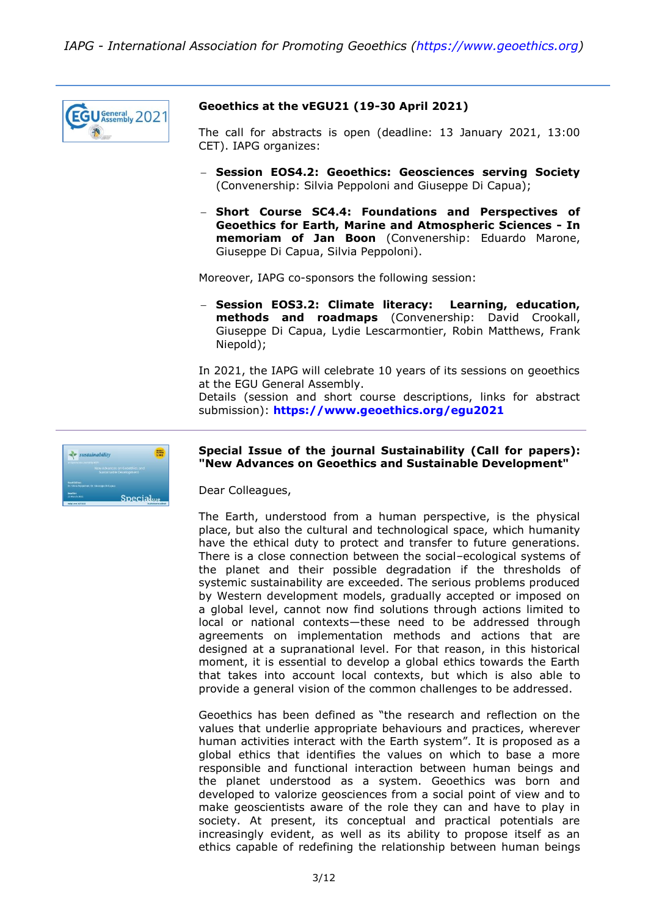

## **Geoethics at the vEGU21 (19-30 April 2021)**

The call for abstracts is open (deadline: 13 January 2021, 13:00 CET). IAPG organizes:

- **Session EOS4.2: Geoethics: Geosciences serving Society** (Convenership: Silvia Peppoloni and Giuseppe Di Capua);
- **Short Course SC4.4: Foundations and Perspectives of Geoethics for Earth, Marine and Atmospheric Sciences - In memoriam of Jan Boon** (Convenership: Eduardo Marone, Giuseppe Di Capua, Silvia Peppoloni).

Moreover, IAPG co-sponsors the following session:

 **Session EOS3.2: Climate literacy: Learning, education, methods and roadmaps** (Convenership: David Crookall, Giuseppe Di Capua, Lydie Lescarmontier, Robin Matthews, Frank Niepold);

In 2021, the IAPG will celebrate 10 years of its sessions on geoethics at the EGU General Assembly.

Details (session and short course descriptions, links for abstract submission): **<https://www.geoethics.org/egu2021>**



## **Special Issue of the journal Sustainability (Call for papers): "New Advances on Geoethics and Sustainable Development"**

Dear Colleagues,

The Earth, understood from a human perspective, is the physical place, but also the cultural and technological space, which humanity have the ethical duty to protect and transfer to future generations. There is a close connection between the social–ecological systems of the planet and their possible degradation if the thresholds of systemic sustainability are exceeded. The serious problems produced by Western development models, gradually accepted or imposed on a global level, cannot now find solutions through actions limited to local or national contexts—these need to be addressed through agreements on implementation methods and actions that are designed at a supranational level. For that reason, in this historical moment, it is essential to develop a global ethics towards the Earth that takes into account local contexts, but which is also able to provide a general vision of the common challenges to be addressed.

Geoethics has been defined as "the research and reflection on the values that underlie appropriate behaviours and practices, wherever human activities interact with the Earth system". It is proposed as a global ethics that identifies the values on which to base a more responsible and functional interaction between human beings and the planet understood as a system. Geoethics was born and developed to valorize geosciences from a social point of view and to make geoscientists aware of the role they can and have to play in society. At present, its conceptual and practical potentials are increasingly evident, as well as its ability to propose itself as an ethics capable of redefining the relationship between human beings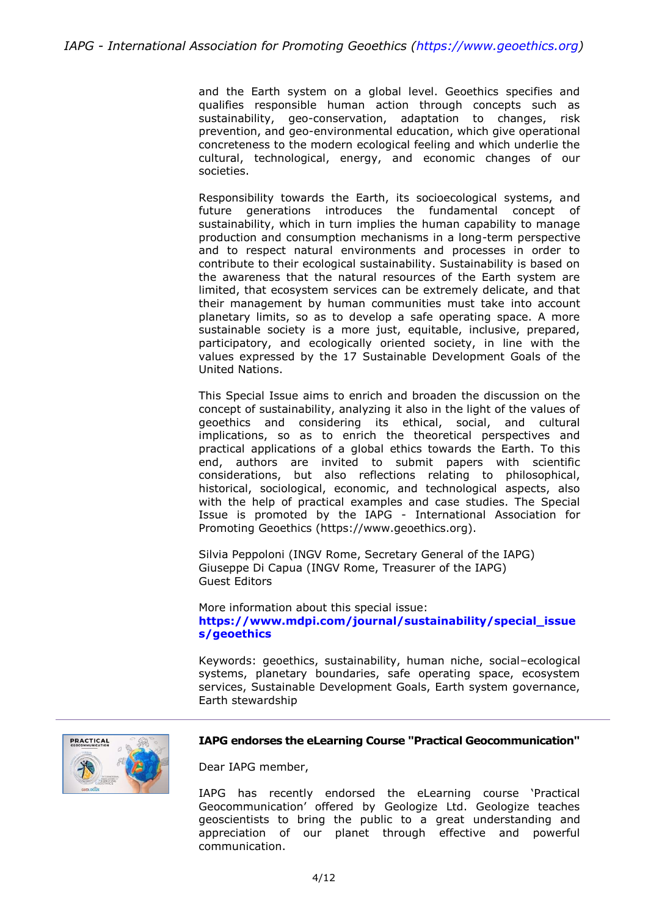and the Earth system on a global level. Geoethics specifies and qualifies responsible human action through concepts such as sustainability, geo-conservation, adaptation to changes, risk prevention, and geo-environmental education, which give operational concreteness to the modern ecological feeling and which underlie the cultural, technological, energy, and economic changes of our societies.

Responsibility towards the Earth, its socioecological systems, and future generations introduces the fundamental concept of sustainability, which in turn implies the human capability to manage production and consumption mechanisms in a long-term perspective and to respect natural environments and processes in order to contribute to their ecological sustainability. Sustainability is based on the awareness that the natural resources of the Earth system are limited, that ecosystem services can be extremely delicate, and that their management by human communities must take into account planetary limits, so as to develop a safe operating space. A more sustainable society is a more just, equitable, inclusive, prepared, participatory, and ecologically oriented society, in line with the values expressed by the 17 Sustainable Development Goals of the United Nations.

This Special Issue aims to enrich and broaden the discussion on the concept of sustainability, analyzing it also in the light of the values of geoethics and considering its ethical, social, and cultural implications, so as to enrich the theoretical perspectives and practical applications of a global ethics towards the Earth. To this end, authors are invited to submit papers with scientific considerations, but also reflections relating to philosophical, historical, sociological, economic, and technological aspects, also with the help of practical examples and case studies. The Special Issue is promoted by the IAPG - International Association for Promoting Geoethics (https://www.geoethics.org).

Silvia Peppoloni (INGV Rome, Secretary General of the IAPG) Giuseppe Di Capua (INGV Rome, Treasurer of the IAPG) Guest Editors

More information about this special issue: **[https://www.mdpi.com/journal/sustainability/special\\_issue](https://www.mdpi.com/journal/sustainability/special_issues/geoethics) [s/geoethics](https://www.mdpi.com/journal/sustainability/special_issues/geoethics)**

Keywords: geoethics, sustainability, human niche, social–ecological systems, planetary boundaries, safe operating space, ecosystem services, Sustainable Development Goals, Earth system governance, Earth stewardship



#### **IAPG endorses the eLearning Course "Practical Geocommunication"**

Dear IAPG member,

IAPG has recently endorsed the eLearning course 'Practical Geocommunication' offered by Geologize Ltd. Geologize teaches geoscientists to bring the public to a great understanding and appreciation of our planet through effective and powerful communication.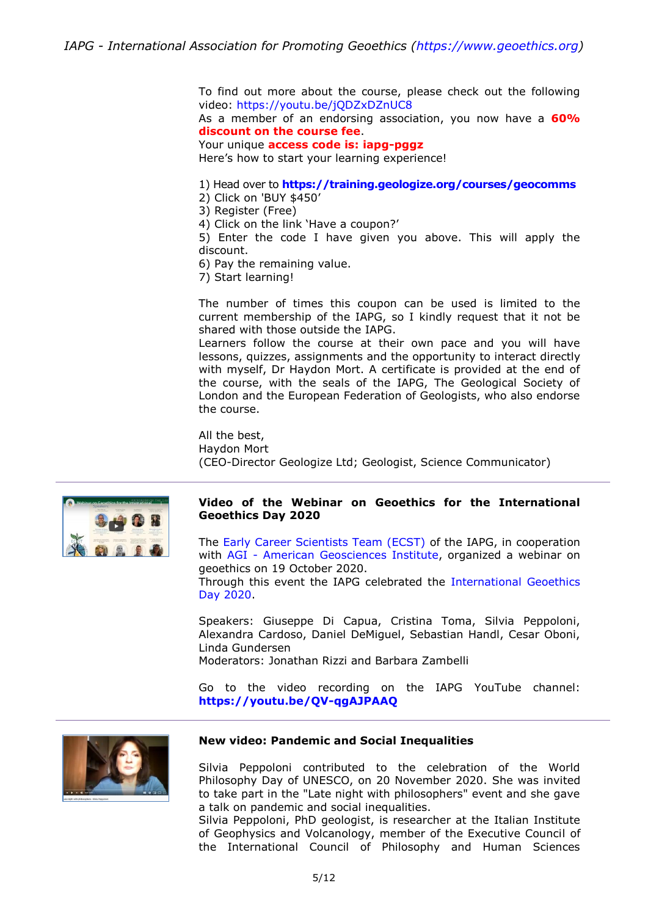To find out more about the course, please check out the following video: <https://youtu.be/jQDZxDZnUC8>

As a member of an endorsing association, you now have a **60% discount on the course fee**.

Your unique **access code is: iapg-pggz**

Here's how to start your learning experience!

- 1) Head over to **<https://training.geologize.org/courses/geocomms>**
- 2) Click on 'BUY \$450'
- 3) Register (Free)

4) Click on the link 'Have a coupon?'

5) Enter the code I have given you above. This will apply the discount.

6) Pay the remaining value.

7) Start learning!

The number of times this coupon can be used is limited to the current membership of the IAPG, so I kindly request that it not be shared with those outside the IAPG.

Learners follow the course at their own pace and you will have lessons, quizzes, assignments and the opportunity to interact directly with myself, Dr Haydon Mort. A certificate is provided at the end of the course, with the seals of the IAPG, The Geological Society of London and the European Federation of Geologists, who also endorse the course.

All the best, Haydon Mort (CEO-Director Geologize Ltd; Geologist, Science Communicator)



#### **Video of the Webinar on Geoethics for the International Geoethics Day 2020**

The [Early Career Scientists Team \(ECST\)](https://www.geoethics.org/ecst) of the IAPG, in cooperation with AGI - [American Geosciences Institute,](https://www.americangeosciences.org/) organized a webinar on geoethics on 19 October 2020.

Through this event the IAPG celebrated the [International Geoethics](https://www.geoethics.org/geoethics-day)  [Day 2020.](https://www.geoethics.org/geoethics-day)

Speakers: Giuseppe Di Capua, Cristina Toma, Silvia Peppoloni, Alexandra Cardoso, Daniel DeMiguel, Sebastian Handl, Cesar Oboni, Linda Gundersen Moderators: Jonathan Rizzi and Barbara Zambelli

Go to the video recording on the IAPG YouTube channel: **<https://youtu.be/QV-qgAJPAAQ>**



#### **New video: Pandemic and Social Inequalities**

Silvia Peppoloni contributed to the celebration of the World Philosophy Day of UNESCO, on 20 November 2020. She was invited to take part in the "Late night with philosophers" event and she gave a talk on pandemic and social inequalities.

Silvia Peppoloni, PhD geologist, is researcher at the Italian Institute of Geophysics and Volcanology, member of the Executive Council of the International Council of Philosophy and Human Sciences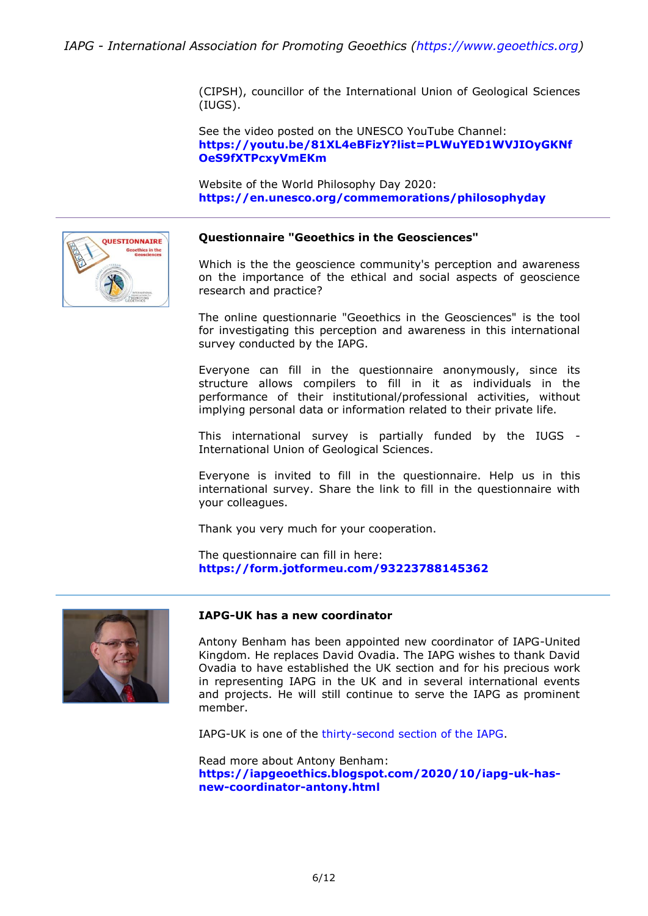(CIPSH), councillor of the International Union of Geological Sciences (IUGS).

See the video posted on the UNESCO YouTube Channel: **[https://youtu.be/81XL4eBFizY?list=PLWuYED1WVJIOyGKNf](https://youtu.be/81XL4eBFizY?list=PLWuYED1WVJIOyGKNfOeS9fXTPcxyVmEKm) [OeS9fXTPcxyVmEKm](https://youtu.be/81XL4eBFizY?list=PLWuYED1WVJIOyGKNfOeS9fXTPcxyVmEKm)**

Website of the World Philosophy Day 2020: **<https://en.unesco.org/commemorations/philosophyday>**



#### **Questionnaire "Geoethics in the Geosciences"**

Which is the the geoscience community's perception and awareness on the importance of the ethical and social aspects of geoscience research and practice?

The online questionnarie "Geoethics in the Geosciences" is the tool for investigating this perception and awareness in this international survey conducted by the IAPG.

Everyone can fill in the questionnaire anonymously, since its structure allows compilers to fill in it as individuals in the performance of their institutional/professional activities, without implying personal data or information related to their private life.

This international survey is partially funded by the IUGS - International Union of Geological Sciences.

Everyone is invited to fill in the questionnaire. Help us in this international survey. Share the link to fill in the questionnaire with your colleagues.

Thank you very much for your cooperation.

The questionnaire can fill in here: **<https://form.jotformeu.com/93223788145362>**



#### **IAPG-UK has a new coordinator**

Antony Benham has been appointed new coordinator of IAPG-United Kingdom. He replaces David Ovadia. The IAPG wishes to thank David Ovadia to have established the UK section and for his precious work in representing IAPG in the UK and in several international events and projects. He will still continue to serve the IAPG as prominent member.

IAPG-UK is one of the [thirty-second section of the IAPG.](https://www.geoethics.org/sections)

Read more about Antony Benham: **[https://iapgeoethics.blogspot.com/2020/10/iapg-uk-has](https://iapgeoethics.blogspot.com/2020/10/iapg-uk-has-new-coordinator-antony.html)[new-coordinator-antony.html](https://iapgeoethics.blogspot.com/2020/10/iapg-uk-has-new-coordinator-antony.html)**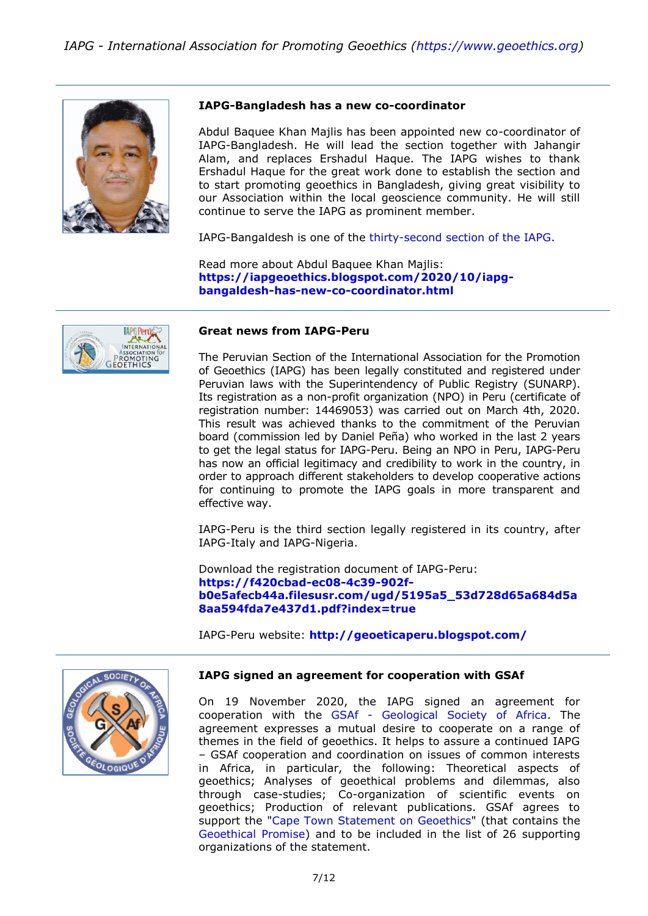

#### **IAPG-Bangladesh has a new co-coordinator**

Abdul Baquee Khan Majlis has been appointed new co-coordinator of IAPG-Bangladesh. He will lead the section together with Jahangir Alam, and replaces Ershadul Haque. The IAPG wishes to thank Ershadul Haque for the great work done to establish the section and to start promoting geoethics in Bangladesh, giving great visibility to our Association within the local geoscience community. He will still continue to serve the IAPG as prominent member.

IAPG-Bangaldesh is one of the [thirty-second section of the IAPG.](https://www.geoethics.org/sections)

Read more about Abdul Baquee Khan Majlis: **[https://iapgeoethics.blogspot.com/2020/10/iapg](https://iapgeoethics.blogspot.com/2020/10/iapg-bangaldesh-has-new-co-coordinator.html)[bangaldesh-has-new-co-coordinator.html](https://iapgeoethics.blogspot.com/2020/10/iapg-bangaldesh-has-new-co-coordinator.html)**



#### **Great news from IAPG-Peru**

The Peruvian Section of the International Association for the Promotion of Geoethics (IAPG) has been legally constituted and registered under Peruvian laws with the Superintendency of Public Registry (SUNARP). Its registration as a non-profit organization (NPO) in Peru (certificate of registration number: 14469053) was carried out on March 4th, 2020. This result was achieved thanks to the commitment of the Peruvian board (commission led by Daniel Peña) who worked in the last 2 years to get the legal status for IAPG-Peru. Being an NPO in Peru, IAPG-Peru has now an official legitimacy and credibility to work in the country, in order to approach different stakeholders to develop cooperative actions for continuing to promote the IAPG goals in more transparent and effective way.

IAPG-Peru is the third section legally registered in its country, after IAPG-Italy and IAPG-Nigeria.

Download the registration document of IAPG-Peru: **[https://f420cbad-ec08-4c39-902f](https://f420cbad-ec08-4c39-902f-b0e5afecb44a.filesusr.com/ugd/5195a5_53d728d65a684d5a8aa594fda7e437d1.pdf?index=true)[b0e5afecb44a.filesusr.com/ugd/5195a5\\_53d728d65a684d5a](https://f420cbad-ec08-4c39-902f-b0e5afecb44a.filesusr.com/ugd/5195a5_53d728d65a684d5a8aa594fda7e437d1.pdf?index=true) [8aa594fda7e437d1.pdf?index=true](https://f420cbad-ec08-4c39-902f-b0e5afecb44a.filesusr.com/ugd/5195a5_53d728d65a684d5a8aa594fda7e437d1.pdf?index=true)**

IAPG-Peru website: **<http://geoeticaperu.blogspot.com/>**



#### **IAPG signed an agreement for cooperation with GSAf**

On 19 November 2020, the IAPG signed an agreement for cooperation with the GSAf - [Geological Society of Africa.](http://gsafr.org/) The agreement expresses a mutual desire to cooperate on a range of themes in the field of geoethics. It helps to assure a continued IAPG – GSAf cooperation and coordination on issues of common interests in Africa, in particular, the following: Theoretical aspects of geoethics; Analyses of geoethical problems and dilemmas, also through case-studies; Co-organization of scientific events on geoethics; Production of relevant publications. GSAf agrees to support the ["Cape Town Statement on Geoethics"](https://www.geoethics.org/ctsg) (that contains the [Geoethical Promise\)](https://www.geoethics.org/geopromise) and to be included in the list of 26 supporting organizations of the statement.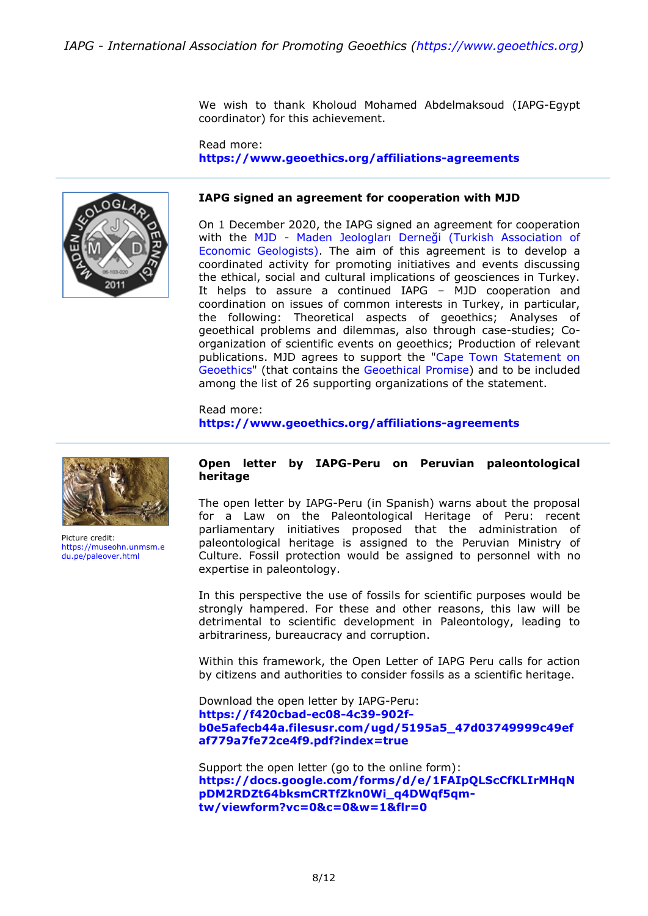We wish to thank Kholoud Mohamed Abdelmaksoud (IAPG-Egypt coordinator) for this achievement.

Read more: **<https://www.geoethics.org/affiliations-agreements>**



#### **IAPG signed an agreement for cooperation with MJD**

On 1 December 2020, the IAPG signed an agreement for cooperation with the MJD - [Maden Jeologları Derneği \(Turkish Association of](http://www.mjd.org.tr/)  [Economic Geologists\).](http://www.mjd.org.tr/) The aim of this agreement is to develop a coordinated activity for promoting initiatives and events discussing the ethical, social and cultural implications of geosciences in Turkey. It helps to assure a continued IAPG – MJD cooperation and coordination on issues of common interests in Turkey, in particular, the following: Theoretical aspects of geoethics; Analyses of geoethical problems and dilemmas, also through case-studies; Coorganization of scientific events on geoethics; Production of relevant publications. MJD agrees to support the ["Cape Town Statement on](https://www.geoethics.org/ctsg)  [Geoethics"](https://www.geoethics.org/ctsg) (that contains the [Geoethical Promise\)](https://www.geoethics.org/geopromise) and to be included among the list of 26 supporting organizations of the statement.

Read more: **<https://www.geoethics.org/affiliations-agreements>**



Picture credit: [https://museohn.unmsm.e](https://museohn.unmsm.edu.pe/paleover.html) [du.pe/paleover.html](https://museohn.unmsm.edu.pe/paleover.html)

#### **Open letter by IAPG-Peru on Peruvian paleontological heritage**

The open letter by IAPG-Peru (in Spanish) warns about the proposal for a Law on the Paleontological Heritage of Peru: recent parliamentary initiatives proposed that the administration of paleontological heritage is assigned to the Peruvian Ministry of Culture. Fossil protection would be assigned to personnel with no expertise in paleontology.

In this perspective the use of fossils for scientific purposes would be strongly hampered. For these and other reasons, this law will be detrimental to scientific development in Paleontology, leading to arbitrariness, bureaucracy and corruption.

Within this framework, the Open Letter of IAPG Peru calls for action by citizens and authorities to consider fossils as a scientific heritage.

Download the open letter by IAPG-Peru: **[https://f420cbad-ec08-4c39-902f](https://f420cbad-ec08-4c39-902f-b0e5afecb44a.filesusr.com/ugd/5195a5_47d03749999c49efaf779a7fe72ce4f9.pdf?index=true)[b0e5afecb44a.filesusr.com/ugd/5195a5\\_47d03749999c49ef](https://f420cbad-ec08-4c39-902f-b0e5afecb44a.filesusr.com/ugd/5195a5_47d03749999c49efaf779a7fe72ce4f9.pdf?index=true) [af779a7fe72ce4f9.pdf?index=true](https://f420cbad-ec08-4c39-902f-b0e5afecb44a.filesusr.com/ugd/5195a5_47d03749999c49efaf779a7fe72ce4f9.pdf?index=true)**

Support the open letter (go to the online form): **[https://docs.google.com/forms/d/e/1FAIpQLScCfKLIrMHqN](https://docs.google.com/forms/d/e/1FAIpQLScCfKLIrMHqNpDM2RDZt64bksmCRTfZkn0Wi_q4DWqf5qm-tw/viewform?vc=0&c=0&w=1&flr=0) [pDM2RDZt64bksmCRTfZkn0Wi\\_q4DWqf5qm](https://docs.google.com/forms/d/e/1FAIpQLScCfKLIrMHqNpDM2RDZt64bksmCRTfZkn0Wi_q4DWqf5qm-tw/viewform?vc=0&c=0&w=1&flr=0)[tw/viewform?vc=0&c=0&w=1&flr=0](https://docs.google.com/forms/d/e/1FAIpQLScCfKLIrMHqNpDM2RDZt64bksmCRTfZkn0Wi_q4DWqf5qm-tw/viewform?vc=0&c=0&w=1&flr=0)**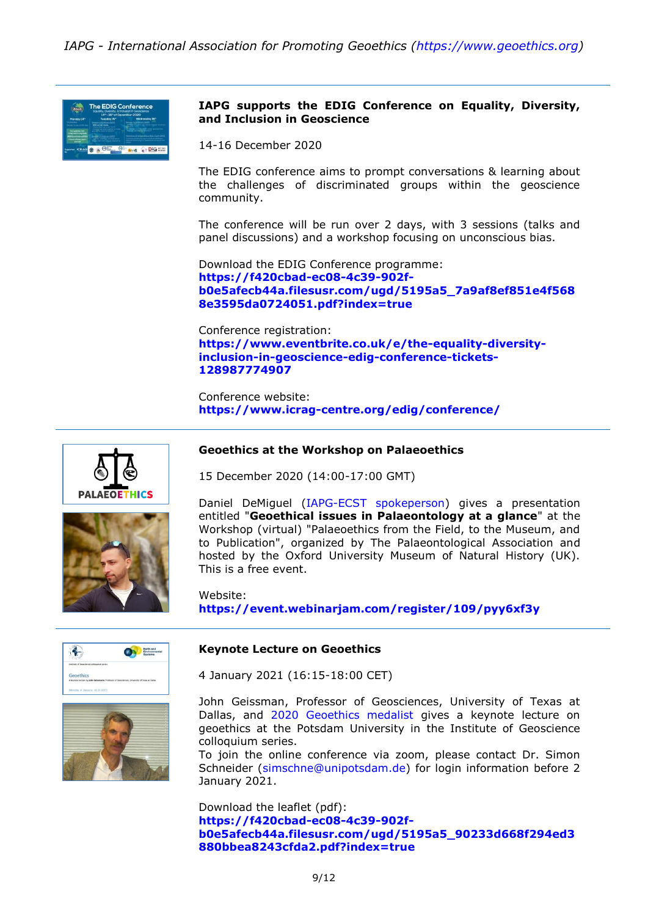

## **IAPG supports the EDIG Conference on Equality, Diversity, and Inclusion in Geoscience**

14-16 December 2020

The EDIG conference aims to prompt conversations & learning about the challenges of discriminated groups within the geoscience community.

The conference will be run over 2 days, with 3 sessions (talks and panel discussions) and a workshop focusing on unconscious bias.

Download the EDIG Conference programme: **[https://f420cbad-ec08-4c39-902f](https://f420cbad-ec08-4c39-902f-b0e5afecb44a.filesusr.com/ugd/5195a5_7a9af8ef851e4f5688e3595da0724051.pdf?index=true)[b0e5afecb44a.filesusr.com/ugd/5195a5\\_7a9af8ef851e4f568](https://f420cbad-ec08-4c39-902f-b0e5afecb44a.filesusr.com/ugd/5195a5_7a9af8ef851e4f5688e3595da0724051.pdf?index=true) [8e3595da0724051.pdf?index=true](https://f420cbad-ec08-4c39-902f-b0e5afecb44a.filesusr.com/ugd/5195a5_7a9af8ef851e4f5688e3595da0724051.pdf?index=true)**

Conference registration: **[https://www.eventbrite.co.uk/e/the-equality-diversity](https://www.eventbrite.co.uk/e/the-equality-diversity-inclusion-in-geoscience-edig-conference-tickets-128987774907)[inclusion-in-geoscience-edig-conference-tickets-](https://www.eventbrite.co.uk/e/the-equality-diversity-inclusion-in-geoscience-edig-conference-tickets-128987774907)[128987774907](https://www.eventbrite.co.uk/e/the-equality-diversity-inclusion-in-geoscience-edig-conference-tickets-128987774907)**

Conference website: **<https://www.icrag-centre.org/edig/conference/>**





#### **Geoethics at the Workshop on Palaeoethics**

15 December 2020 (14:00-17:00 GMT)

Daniel DeMiguel [\(IAPG-ECST spokeperson\)](https://www.geoethics.org/ecst) gives a presentation entitled "**Geoethical issues in Palaeontology at a glance**" at the Workshop (virtual) "Palaeoethics from the Field, to the Museum, and to Publication", organized by The Palaeontological Association and hosted by the Oxford University Museum of Natural History (UK). This is a free event.

Website: **<https://event.webinarjam.com/register/109/pyy6xf3y>**





#### **Keynote Lecture on Geoethics**

4 January 2021 (16:15-18:00 CET)

John Geissman, Professor of Geosciences, University of Texas at Dallas, and [2020 Geoethics medalist](https://www.geoethics.org/geoethics-medal) gives a keynote lecture on geoethics at the Potsdam University in the Institute of Geoscience colloquium series.

To join the online conference via zoom, please contact Dr. Simon Schneider [\(simschne@unipotsdam.de\)](mailto:simschne@unipotsdam.de) for login information before 2 January 2021.

Download the leaflet (pdf): **[https://f420cbad-ec08-4c39-902f](https://f420cbad-ec08-4c39-902f-b0e5afecb44a.filesusr.com/ugd/5195a5_90233d668f294ed3880bbea8243cfda2.pdf?index=true)[b0e5afecb44a.filesusr.com/ugd/5195a5\\_90233d668f294ed3](https://f420cbad-ec08-4c39-902f-b0e5afecb44a.filesusr.com/ugd/5195a5_90233d668f294ed3880bbea8243cfda2.pdf?index=true) [880bbea8243cfda2.pdf?index=true](https://f420cbad-ec08-4c39-902f-b0e5afecb44a.filesusr.com/ugd/5195a5_90233d668f294ed3880bbea8243cfda2.pdf?index=true)**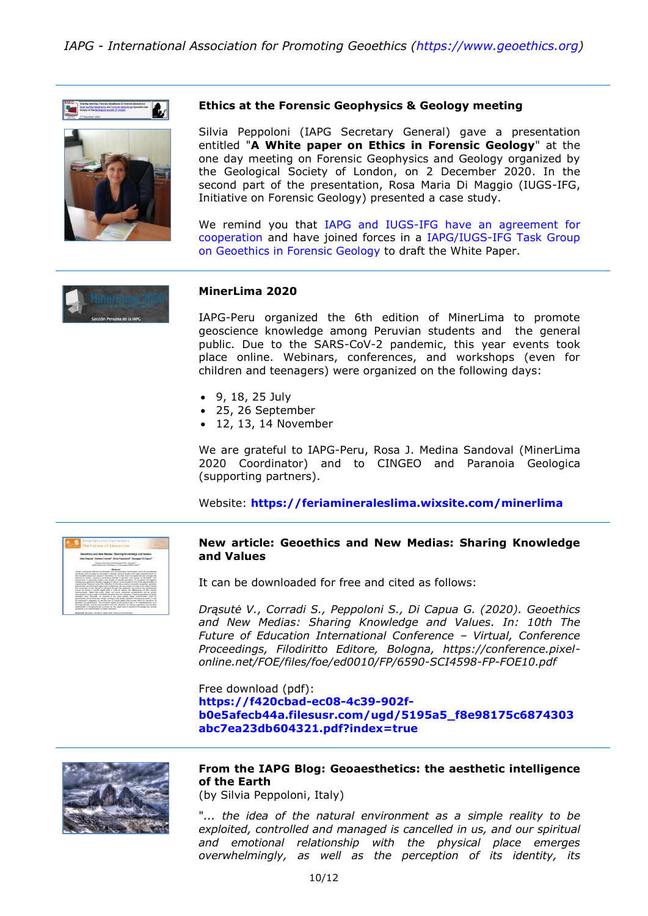# *IAPG - International Association for Promoting Geoethics (https://www.geoethics.org)*





#### **Ethics at the Forensic Geophysics & Geology meeting**

Silvia Peppoloni (IAPG Secretary General) gave a presentation entitled "**A White paper on Ethics in Forensic Geology**" at the one day meeting on Forensic Geophysics and Geology organized by the Geological Society of London, on 2 December 2020. In the second part of the presentation, Rosa Maria Di Maggio (IUGS-IFG, Initiative on Forensic Geology) presented a case study.

We remind you that [IAPG and IUGS-IFG have an agreement for](https://www.geoethics.org/affiliations-agreements)  [cooperation](https://www.geoethics.org/affiliations-agreements) and have joined forces in a [IAPG/IUGS-IFG Task Group](https://www.geoethics.org/tggfg)  [on Geoethics in Forensic Geology](https://www.geoethics.org/tggfg) to draft the White Paper.



#### **MinerLima 2020**

IAPG-Peru organized the 6th edition of MinerLima to promote geoscience knowledge among Peruvian students and the general public. Due to the SARS-CoV-2 pandemic, this year events took place online. Webinars, conferences, and workshops (even for children and teenagers) were organized on the following days:

- 9, 18, 25 July
- 25, 26 September
- $\bullet$  12, 13, 14 November

We are grateful to IAPG-Peru, Rosa J. Medina Sandoval (MinerLima 2020 Coordinator) and to CINGEO and Paranoia Geologica (supporting partners).

Website: **<https://feriamineraleslima.wixsite.com/minerlima>**



#### **New article: Geoethics and New Medias: Sharing Knowledge and Values**

It can be downloaded for free and cited as follows:

*Drąsutė V., Corradi S., Peppoloni S., Di Capua G. (2020). Geoethics and New Medias: Sharing Knowledge and Values. In: 10th The Future of Education International Conference – Virtual, Conference Proceedings, Filodiritto Editore, Bologna, https://conference.pixelonline.net/FOE/files/foe/ed0010/FP/6590-SCI4598-FP-FOE10.pdf*

Free download (pdf): **[https://f420cbad-ec08-4c39-902f](https://f420cbad-ec08-4c39-902f-b0e5afecb44a.filesusr.com/ugd/5195a5_f8e98175c6874303abc7ea23db604321.pdf?index=true)[b0e5afecb44a.filesusr.com/ugd/5195a5\\_f8e98175c6874303](https://f420cbad-ec08-4c39-902f-b0e5afecb44a.filesusr.com/ugd/5195a5_f8e98175c6874303abc7ea23db604321.pdf?index=true) [abc7ea23db604321.pdf?index=true](https://f420cbad-ec08-4c39-902f-b0e5afecb44a.filesusr.com/ugd/5195a5_f8e98175c6874303abc7ea23db604321.pdf?index=true)**



# **From the IAPG Blog: Geoaesthetics: the aesthetic intelligence of the Earth**

(by Silvia Peppoloni, Italy)

"*... the idea of the natural environment as a simple reality to be exploited, controlled and managed is cancelled in us, and our spiritual and emotional relationship with the physical place emerges overwhelmingly, as well as the perception of its identity, its*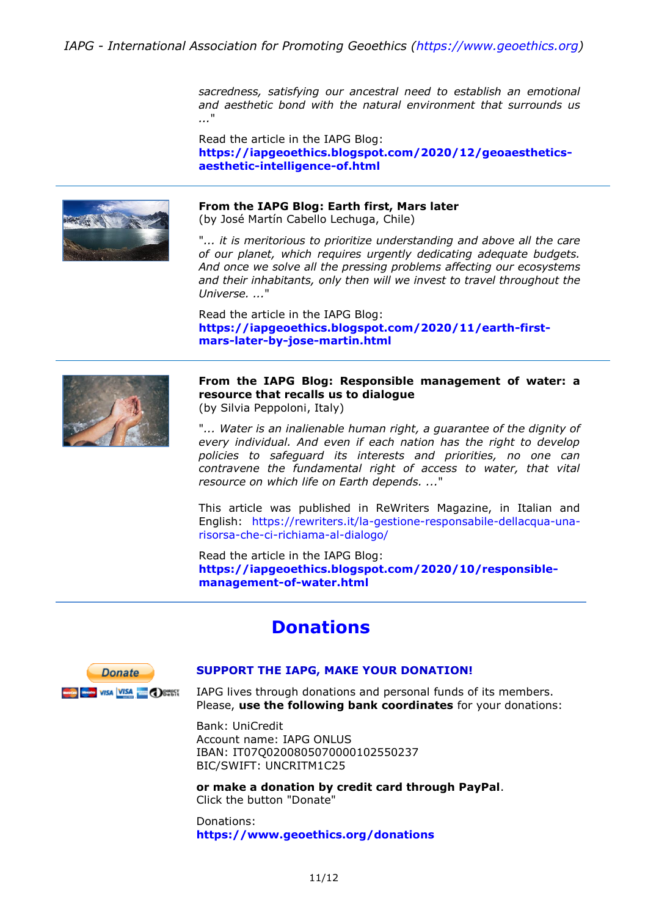*sacredness, satisfying our ancestral need to establish an emotional and aesthetic bond with the natural environment that surrounds us ...*"

Read the article in the IAPG Blog: **[https://iapgeoethics.blogspot.com/2020/12/geoaesthetics](https://iapgeoethics.blogspot.com/2020/12/geoaesthetics-aesthetic-intelligence-of.html)[aesthetic-intelligence-of.html](https://iapgeoethics.blogspot.com/2020/12/geoaesthetics-aesthetic-intelligence-of.html)**



#### **From the IAPG Blog: Earth first, Mars later**

(by José Martín Cabello Lechuga, Chile)

"*... it is meritorious to prioritize understanding and above all the care of our planet, which requires urgently dedicating adequate budgets. And once we solve all the pressing problems affecting our ecosystems and their inhabitants, only then will we invest to travel throughout the Universe. ...*"

Read the article in the IAPG Blog: **[https://iapgeoethics.blogspot.com/2020/11/earth-first](https://iapgeoethics.blogspot.com/2020/11/earth-first-mars-later-by-jose-martin.html)[mars-later-by-jose-martin.html](https://iapgeoethics.blogspot.com/2020/11/earth-first-mars-later-by-jose-martin.html)**



**From the IAPG Blog: Responsible management of water: a resource that recalls us to dialogue** (by Silvia Peppoloni, Italy)

"*... Water is an inalienable human right, a guarantee of the dignity of every individual. And even if each nation has the right to develop policies to safeguard its interests and priorities, no one can contravene the fundamental right of access to water, that vital resource on which life on Earth depends. ...*"

This article was published in ReWriters Magazine, in Italian and English: [https://rewriters.it/la-gestione-responsabile-dellacqua-una](https://rewriters.it/la-gestione-responsabile-dellacqua-una-risorsa-che-ci-richiama-al-dialogo/)[risorsa-che-ci-richiama-al-dialogo/](https://rewriters.it/la-gestione-responsabile-dellacqua-una-risorsa-che-ci-richiama-al-dialogo/)

Read the article in the IAPG Blog: **[https://iapgeoethics.blogspot.com/2020/10/responsible](https://iapgeoethics.blogspot.com/2020/10/responsible-management-of-water.html)[management-of-water.html](https://iapgeoethics.blogspot.com/2020/10/responsible-management-of-water.html)**

# **Donations**



#### **[SUPPORT THE IAPG, MAKE YOUR DONATION!](http://www.geoethics.org/donations)**

IAPG lives through donations and personal funds of its members. Please, **use the following bank coordinates** for your donations:

Bank: UniCredit Account name: IAPG ONLUS IBAN: IT07Q0200805070000102550237 BIC/SWIFT: UNCRITM1C25

**or make a donation by credit card through PayPal**. Click the button "Donate"

Donations: **<https://www.geoethics.org/donations>**